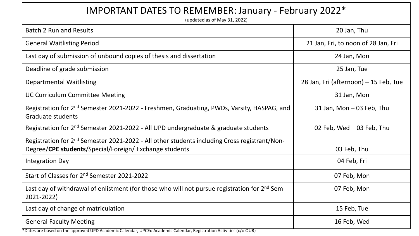| IMPORTANT DATES TO REMEMBER: January - February 2022*<br>(updated as of May 31, 2022)                                                                              |                                       |  |
|--------------------------------------------------------------------------------------------------------------------------------------------------------------------|---------------------------------------|--|
| <b>Batch 2 Run and Results</b>                                                                                                                                     | 20 Jan, Thu                           |  |
| <b>General Waitlisting Period</b>                                                                                                                                  | 21 Jan, Fri, to noon of 28 Jan, Fri   |  |
| Last day of submission of unbound copies of thesis and dissertation                                                                                                | 24 Jan, Mon                           |  |
| Deadline of grade submission                                                                                                                                       | 25 Jan, Tue                           |  |
| <b>Departmental Waitlisting</b>                                                                                                                                    | 28 Jan, Fri (afternoon) - 15 Feb, Tue |  |
| <b>UC Curriculum Committee Meeting</b>                                                                                                                             | 31 Jan, Mon                           |  |
| Registration for 2 <sup>nd</sup> Semester 2021-2022 - Freshmen, Graduating, PWDs, Varsity, HASPAG, and<br><b>Graduate students</b>                                 | 31 Jan, Mon - 03 Feb, Thu             |  |
| Registration for 2 <sup>nd</sup> Semester 2021-2022 - All UPD undergraduate & graduate students                                                                    | 02 Feb, Wed - 03 Feb, Thu             |  |
| Registration for 2 <sup>nd</sup> Semester 2021-2022 - All other students including Cross registrant/Non-<br>Degree/CPE students/Special/Foreign/ Exchange students | 03 Feb, Thu                           |  |
| <b>Integration Day</b>                                                                                                                                             | 04 Feb, Fri                           |  |
| Start of Classes for 2 <sup>nd</sup> Semester 2021-2022                                                                                                            | 07 Feb, Mon                           |  |
| Last day of withdrawal of enlistment (for those who will not pursue registration for 2 <sup>nd</sup> Sem<br>2021-2022)                                             | 07 Feb, Mon                           |  |
| Last day of change of matriculation                                                                                                                                | 15 Feb, Tue                           |  |
| <b>General Faculty Meeting</b>                                                                                                                                     | 16 Feb, Wed                           |  |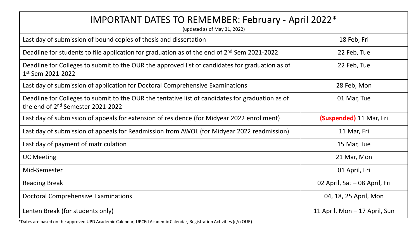| IMPORTANT DATES TO REMEMBER: February - April 2022*<br>(updated as of May 31, 2022)                                                               |                               |  |
|---------------------------------------------------------------------------------------------------------------------------------------------------|-------------------------------|--|
| Last day of submission of bound copies of thesis and dissertation                                                                                 | 18 Feb, Fri                   |  |
| Deadline for students to file application for graduation as of the end of $2^{nd}$ Sem 2021-2022                                                  | 22 Feb, Tue                   |  |
| Deadline for Colleges to submit to the OUR the approved list of candidates for graduation as of<br>1st Sem 2021-2022                              | 22 Feb, Tue                   |  |
| Last day of submission of application for Doctoral Comprehensive Examinations                                                                     | 28 Feb, Mon                   |  |
| Deadline for Colleges to submit to the OUR the tentative list of candidates for graduation as of<br>the end of 2 <sup>nd</sup> Semester 2021-2022 | 01 Mar, Tue                   |  |
| Last day of submission of appeals for extension of residence (for Midyear 2022 enrollment)                                                        | (Suspended) 11 Mar, Fri       |  |
| Last day of submission of appeals for Readmission from AWOL (for Midyear 2022 readmission)                                                        | 11 Mar, Fri                   |  |
| Last day of payment of matriculation                                                                                                              | 15 Mar, Tue                   |  |
| <b>UC Meeting</b>                                                                                                                                 | 21 Mar, Mon                   |  |
| Mid-Semester                                                                                                                                      | 01 April, Fri                 |  |
| <b>Reading Break</b>                                                                                                                              | 02 April, Sat - 08 April, Fri |  |
| <b>Doctoral Comprehensive Examinations</b>                                                                                                        | 04, 18, 25 April, Mon         |  |
| Lenten Break (for students only)                                                                                                                  | 11 April, Mon - 17 April, Sun |  |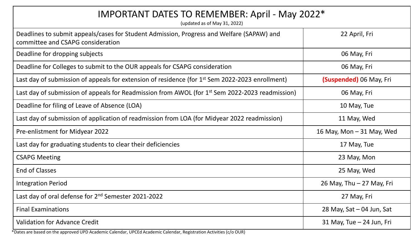| IMPORTANT DATES TO REMEMBER: April - May 2022*<br>(updated as of May 31, 2022)                                                 |                             |  |
|--------------------------------------------------------------------------------------------------------------------------------|-----------------------------|--|
| Deadlines to submit appeals/cases for Student Admission, Progress and Welfare (SAPAW) and<br>committee and CSAPG consideration | 22 April, Fri               |  |
| Deadline for dropping subjects                                                                                                 | 06 May, Fri                 |  |
| Deadline for Colleges to submit to the OUR appeals for CSAPG consideration                                                     | 06 May, Fri                 |  |
| Last day of submission of appeals for extension of residence (for 1 <sup>st</sup> Sem 2022-2023 enrollment)                    | (Suspended) 06 May, Fri     |  |
| Last day of submission of appeals for Readmission from AWOL (for 1 <sup>st</sup> Sem 2022-2023 readmission)                    | 06 May, Fri                 |  |
| Deadline for filing of Leave of Absence (LOA)                                                                                  | 10 May, Tue                 |  |
| Last day of submission of application of readmission from LOA (for Midyear 2022 readmission)                                   | 11 May, Wed                 |  |
| Pre-enlistment for Midyear 2022                                                                                                | 16 May, Mon $-$ 31 May, Wed |  |
| Last day for graduating students to clear their deficiencies                                                                   | 17 May, Tue                 |  |
| <b>CSAPG Meeting</b>                                                                                                           | 23 May, Mon                 |  |
| <b>End of Classes</b>                                                                                                          | 25 May, Wed                 |  |
| <b>Integration Period</b>                                                                                                      | 26 May, Thu - 27 May, Fri   |  |
| Last day of oral defense for 2 <sup>nd</sup> Semester 2021-2022                                                                | 27 May, Fri                 |  |
| <b>Final Examinations</b>                                                                                                      | 28 May, Sat - 04 Jun, Sat   |  |
| <b>Validation for Advance Credit</b>                                                                                           | 31 May, Tue - 24 Jun, Fri   |  |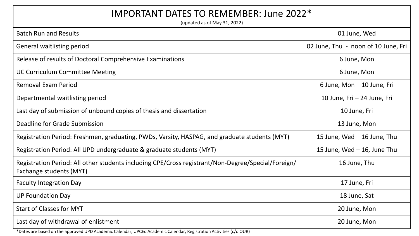## IMPORTANT DATES TO REMEMBER: June 2022\*

(updated as of May 31, 2022)

| <b>Batch Run and Results</b>                                                                                                  | 01 June, Wed                        |
|-------------------------------------------------------------------------------------------------------------------------------|-------------------------------------|
| General waitlisting period                                                                                                    | 02 June, Thu - noon of 10 June, Fri |
| Release of results of Doctoral Comprehensive Examinations                                                                     | 6 June, Mon                         |
| <b>UC Curriculum Committee Meeting</b>                                                                                        | 6 June, Mon                         |
| <b>Removal Exam Period</b>                                                                                                    | 6 June, Mon - 10 June, Fri          |
| Departmental waitlisting period                                                                                               | 10 June, Fri - 24 June, Fri         |
| Last day of submission of unbound copies of thesis and dissertation                                                           | 10 June, Fri                        |
| Deadline for Grade Submission                                                                                                 | 13 June, Mon                        |
| Registration Period: Freshmen, graduating, PWDs, Varsity, HASPAG, and graduate students (MYT)                                 | 15 June, Wed - 16 June, Thu         |
| Registration Period: All UPD undergraduate & graduate students (MYT)                                                          | 15 June, Wed $-$ 16, June Thu       |
| Registration Period: All other students including CPE/Cross registrant/Non-Degree/Special/Foreign/<br>Exchange students (MYT) | 16 June, Thu                        |
| <b>Faculty Integration Day</b>                                                                                                | 17 June, Fri                        |
| <b>UP Foundation Day</b>                                                                                                      | 18 June, Sat                        |
| <b>Start of Classes for MYT</b>                                                                                               | 20 June, Mon                        |
| Last day of withdrawal of enlistment                                                                                          | 20 June, Mon                        |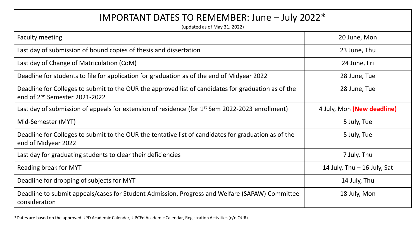## IMPORTANT DATES TO REMEMBER: June – July 2022\*

(updated as of May 31, 2022)

| <b>Faculty meeting</b>                                                                                                                           | 20 June, Mon                  |
|--------------------------------------------------------------------------------------------------------------------------------------------------|-------------------------------|
| Last day of submission of bound copies of thesis and dissertation                                                                                | 23 June, Thu                  |
| Last day of Change of Matriculation (CoM)                                                                                                        | 24 June, Fri                  |
| Deadline for students to file for application for graduation as of the end of Midyear 2022                                                       | 28 June, Tue                  |
| Deadline for Colleges to submit to the OUR the approved list of candidates for graduation as of the<br>end of 2 <sup>nd</sup> Semester 2021-2022 | 28 June, Tue                  |
| Last day of submission of appeals for extension of residence (for 1 <sup>st</sup> Sem 2022-2023 enrollment)                                      | 4 July, Mon (New deadline)    |
| Mid-Semester (MYT)                                                                                                                               | 5 July, Tue                   |
| Deadline for Colleges to submit to the OUR the tentative list of candidates for graduation as of the<br>end of Midyear 2022                      | 5 July, Tue                   |
| Last day for graduating students to clear their deficiencies                                                                                     | 7 July, Thu                   |
| Reading break for MYT                                                                                                                            | 14 July, Thu $-$ 16 July, Sat |
| Deadline for dropping of subjects for MYT                                                                                                        | 14 July, Thu                  |
| Deadline to submit appeals/cases for Student Admission, Progress and Welfare (SAPAW) Committee<br>consideration                                  | 18 July, Mon                  |